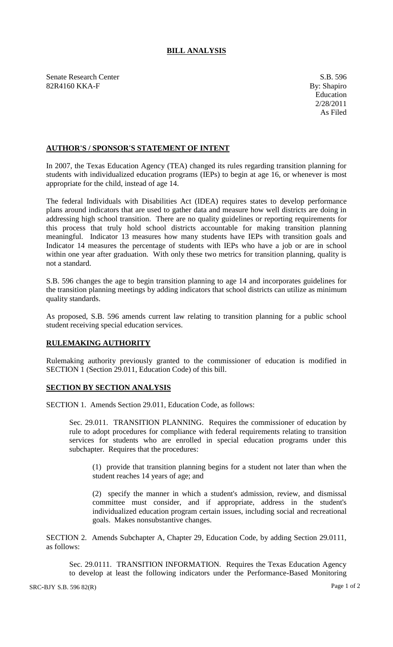## **BILL ANALYSIS**

Senate Research Center S.B. 596 82R4160 KKA-F By: Shapiro

## **AUTHOR'S / SPONSOR'S STATEMENT OF INTENT**

In 2007, the Texas Education Agency (TEA) changed its rules regarding transition planning for students with individualized education programs (IEPs) to begin at age 16, or whenever is most appropriate for the child, instead of age 14.

The federal Individuals with Disabilities Act (IDEA) requires states to develop performance plans around indicators that are used to gather data and measure how well districts are doing in addressing high school transition. There are no quality guidelines or reporting requirements for this process that truly hold school districts accountable for making transition planning meaningful. Indicator 13 measures how many students have IEPs with transition goals and Indicator 14 measures the percentage of students with IEPs who have a job or are in school within one year after graduation. With only these two metrics for transition planning, quality is not a standard.

S.B. 596 changes the age to begin transition planning to age 14 and incorporates guidelines for the transition planning meetings by adding indicators that school districts can utilize as minimum quality standards.

As proposed, S.B. 596 amends current law relating to transition planning for a public school student receiving special education services.

## **RULEMAKING AUTHORITY**

Rulemaking authority previously granted to the commissioner of education is modified in SECTION 1 (Section 29.011, Education Code) of this bill.

## **SECTION BY SECTION ANALYSIS**

SECTION 1. Amends Section 29.011, Education Code, as follows:

Sec. 29.011. TRANSITION PLANNING. Requires the commissioner of education by rule to adopt procedures for compliance with federal requirements relating to transition services for students who are enrolled in special education programs under this subchapter. Requires that the procedures:

(1) provide that transition planning begins for a student not later than when the student reaches 14 years of age; and

(2) specify the manner in which a student's admission, review, and dismissal committee must consider, and if appropriate, address in the student's individualized education program certain issues, including social and recreational goals. Makes nonsubstantive changes.

SECTION 2. Amends Subchapter A, Chapter 29, Education Code, by adding Section 29.0111, as follows:

Sec. 29.0111. TRANSITION INFORMATION. Requires the Texas Education Agency to develop at least the following indicators under the Performance-Based Monitoring